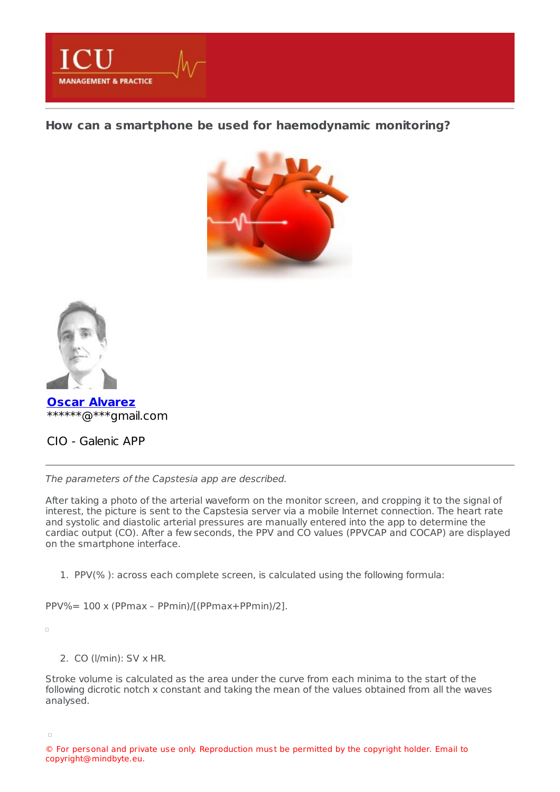

**How can a smartphone be used for [haemodynamic](https://healthmanagement.org/s/how-can-a-smartphone-be-used-for-haemodynamic-monitoring) monitoring?**





**Oscar [Alvarez](https://healthmanagement.org/viewProfile/107340/Oscar_Alvarez)** \*\*\*\*\*\*@\*\*\*gmail.com

CIO - Galenic APP

The parameters of the Capstesia app are described.

After taking a photo of the arterial waveform on the monitor screen, and cropping it to the signal of interest, the picture is sent to the Capstesia server via a mobile Internet connection. The heart rate and systolic and diastolic arterial pressures are manually entered into the app to determine the cardiac output (CO). After a few seconds, the PPV and CO values (PPVCAP and COCAP) are displayed on the smartphone interface.

1. PPV(% ): across each complete screen, is calculated using the following formula:

PPV%= 100 x (PPmax – PPmin)/[(PPmax+PPmin)/2].

 $\Box$ 

## 2. CO (l/min): SV x HR.

Stroke volume is calculated as the area under the curve from each minima to the start of the following dicrotic notch x constant and taking the mean of the values obtained from all the waves analysed.

<sup>©</sup> For personal and private use only. Reproduction must be permitted by the copyright holder. Email to copyright@mindbyte.eu.